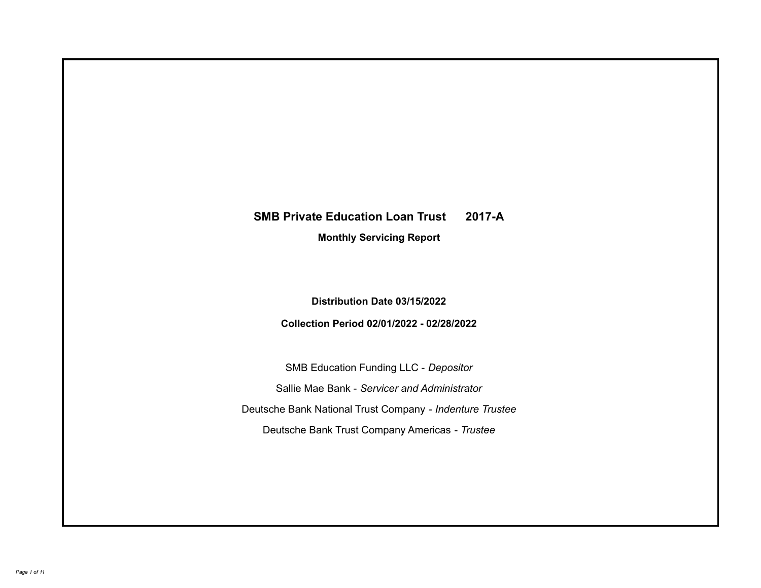# **SMB Private Education Loan Trust 2017-A**

**Monthly Servicing Report**

**Distribution Date 03/15/2022**

**Collection Period 02/01/2022 - 02/28/2022**

SMB Education Funding LLC - *Depositor* Sallie Mae Bank - *Servicer and Administrator* Deutsche Bank National Trust Company - *Indenture Trustee* Deutsche Bank Trust Company Americas - *Trustee*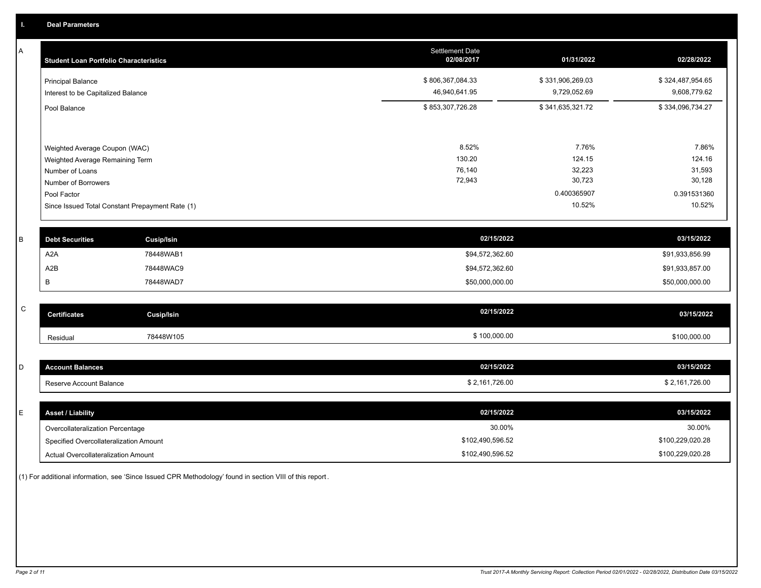A

| А         | <b>Student Loan Portfolio Characteristics</b>   | <b>Settlement Date</b><br>02/08/2017 | 01/31/2022       | 02/28/2022       |
|-----------|-------------------------------------------------|--------------------------------------|------------------|------------------|
|           | <b>Principal Balance</b>                        | \$806,367,084.33                     | \$331,906,269.03 | \$324,487,954.65 |
|           | Interest to be Capitalized Balance              | 46,940,641.95                        | 9,729,052.69     | 9,608,779.62     |
|           | Pool Balance                                    | \$853,307,726.28                     | \$341,635,321.72 | \$334,096,734.27 |
|           |                                                 |                                      |                  |                  |
|           | Weighted Average Coupon (WAC)                   | 8.52%                                | 7.76%            | 7.86%            |
|           | Weighted Average Remaining Term                 | 130.20                               | 124.15           | 124.16           |
|           | Number of Loans                                 | 76,140                               | 32,223           | 31,593           |
|           | Number of Borrowers                             | 72,943                               | 30,723           | 30,128           |
|           | Pool Factor                                     |                                      | 0.400365907      | 0.391531360      |
|           | Since Issued Total Constant Prepayment Rate (1) |                                      | 10.52%           | 10.52%           |
|           |                                                 |                                      |                  |                  |
| B         | <b>Debt Securities</b><br><b>Cusip/Isin</b>     | 02/15/2022                           |                  | 03/15/2022       |
|           | A <sub>2</sub> A<br>78448WAB1                   | \$94,572,362.60                      |                  | \$91,933,856.99  |
|           | A <sub>2</sub> B<br>78448WAC9                   | \$94,572,362.60                      |                  | \$91,933,857.00  |
|           | В<br>78448WAD7                                  | \$50,000,000.00                      |                  | \$50,000,000.00  |
| ${\bf C}$ |                                                 |                                      |                  |                  |
|           | <b>Certificates</b><br><b>Cusip/Isin</b>        | 02/15/2022                           |                  | 03/15/2022       |
|           | 78448W105<br>Residual                           | \$100,000.00                         |                  | \$100,000.00     |
|           |                                                 |                                      |                  |                  |
| D         | <b>Account Balances</b>                         | 02/15/2022                           |                  | 03/15/2022       |
|           | Reserve Account Balance                         | \$2,161,726.00                       |                  | \$2,161,726.00   |
|           |                                                 |                                      |                  |                  |
| E         | <b>Asset / Liability</b>                        | 02/15/2022                           |                  | 03/15/2022       |
|           | Overcollateralization Percentage                | 30.00%                               |                  | 30.00%           |
|           | Specified Overcollateralization Amount          | \$102,490,596.52                     |                  | \$100,229,020.28 |

(1) For additional information, see 'Since Issued CPR Methodology' found in section VIII of this report .

Actual Overcollateralization Amount \$102,490,596.52

\$100,229,020.28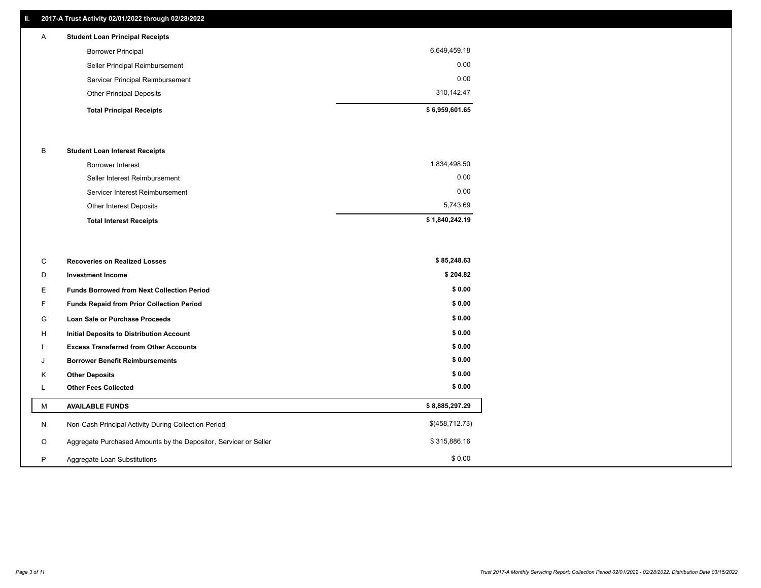# **II. 2017-A Trust Activity 02/01/2022 through 02/28/2022**

| A | <b>Student Loan Principal Receipts</b> |                |
|---|----------------------------------------|----------------|
|   | <b>Borrower Principal</b>              | 6,649,459.18   |
|   | Seller Principal Reimbursement         | 0.00           |
|   | Servicer Principal Reimbursement       | 0.00           |
|   | <b>Other Principal Deposits</b>        | 310,142.47     |
|   | <b>Total Principal Receipts</b>        | \$6,959,601.65 |

## B **Student Loan Interest Receipts**

| <b>Total Interest Receipts</b>  | \$1,840,242.19 |
|---------------------------------|----------------|
| Other Interest Deposits         | 5.743.69       |
| Servicer Interest Reimbursement | 0.00           |
| Seller Interest Reimbursement   | 0.00           |
| Borrower Interest               | 1,834,498.50   |

| C       | <b>Recoveries on Realized Losses</b>                             | \$85,248.63    |
|---------|------------------------------------------------------------------|----------------|
| D       | <b>Investment Income</b>                                         | \$204.82       |
| Е       | <b>Funds Borrowed from Next Collection Period</b>                | \$0.00         |
| F.      | <b>Funds Repaid from Prior Collection Period</b>                 | \$0.00         |
| G       | Loan Sale or Purchase Proceeds                                   | \$0.00         |
| H       | Initial Deposits to Distribution Account                         | \$0.00         |
|         | <b>Excess Transferred from Other Accounts</b>                    | \$0.00         |
| J       | <b>Borrower Benefit Reimbursements</b>                           | \$0.00         |
| K       | <b>Other Deposits</b>                                            | \$0.00         |
| ┗       | <b>Other Fees Collected</b>                                      | \$0.00         |
| М       | <b>AVAILABLE FUNDS</b>                                           | \$8,885,297.29 |
| N       | Non-Cash Principal Activity During Collection Period             | \$(458,712.73) |
| $\circ$ | Aggregate Purchased Amounts by the Depositor, Servicer or Seller | \$315,886.16   |
| P       | Aggregate Loan Substitutions                                     | \$0.00         |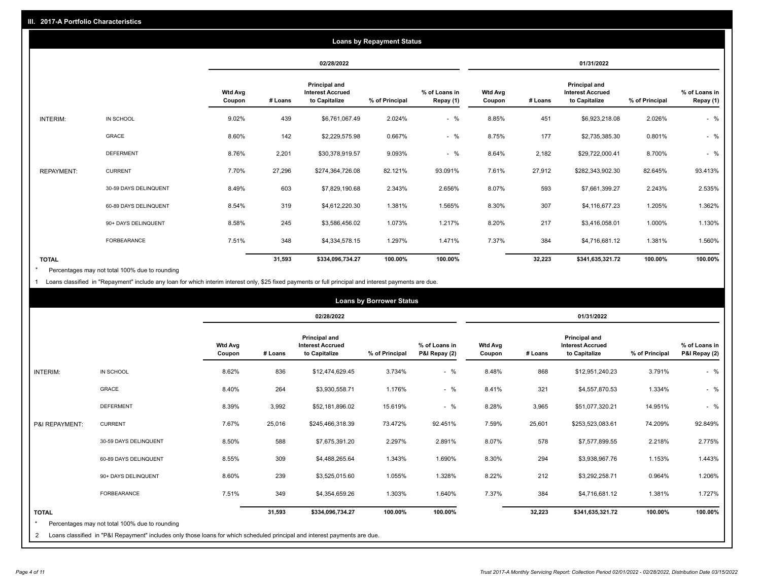|                   | <b>Loans by Repayment Status</b> |                          |            |                                                           |                |                            |                          |         |                                                           |                |                            |
|-------------------|----------------------------------|--------------------------|------------|-----------------------------------------------------------|----------------|----------------------------|--------------------------|---------|-----------------------------------------------------------|----------------|----------------------------|
|                   |                                  |                          | 02/28/2022 |                                                           |                | 01/31/2022                 |                          |         |                                                           |                |                            |
|                   |                                  | <b>Wtd Avg</b><br>Coupon | # Loans    | Principal and<br><b>Interest Accrued</b><br>to Capitalize | % of Principal | % of Loans in<br>Repay (1) | <b>Wtd Avg</b><br>Coupon | # Loans | Principal and<br><b>Interest Accrued</b><br>to Capitalize | % of Principal | % of Loans in<br>Repay (1) |
| INTERIM:          | IN SCHOOL                        | 9.02%                    | 439        | \$6,761,067.49                                            | 2.024%         | $-$ %                      | 8.85%                    | 451     | \$6,923,218.08                                            | 2.026%         | $-$ %                      |
|                   | GRACE                            | 8.60%                    | 142        | \$2,229,575.98                                            | 0.667%         | $-$ %                      | 8.75%                    | 177     | \$2,735,385.30                                            | 0.801%         | $-$ %                      |
|                   | <b>DEFERMENT</b>                 | 8.76%                    | 2,201      | \$30,378,919.57                                           | 9.093%         | $-$ %                      | 8.64%                    | 2,182   | \$29,722,000.41                                           | 8.700%         | $-$ %                      |
| <b>REPAYMENT:</b> | <b>CURRENT</b>                   | 7.70%                    | 27,296     | \$274,364,726.08                                          | 82.121%        | 93.091%                    | 7.61%                    | 27,912  | \$282,343,902.30                                          | 82.645%        | 93.413%                    |
|                   | 30-59 DAYS DELINQUENT            | 8.49%                    | 603        | \$7,829,190.68                                            | 2.343%         | 2.656%                     | 8.07%                    | 593     | \$7,661,399.27                                            | 2.243%         | 2.535%                     |
|                   | 60-89 DAYS DELINQUENT            | 8.54%                    | 319        | \$4,612,220.30                                            | 1.381%         | 1.565%                     | 8.30%                    | 307     | \$4,116,677.23                                            | 1.205%         | 1.362%                     |
|                   | 90+ DAYS DELINQUENT              | 8.58%                    | 245        | \$3,586,456.02                                            | 1.073%         | 1.217%                     | 8.20%                    | 217     | \$3,416,058.01                                            | 1.000%         | 1.130%                     |
|                   | FORBEARANCE                      | 7.51%                    | 348        | \$4,334,578.15                                            | 1.297%         | 1.471%                     | 7.37%                    | 384     | \$4,716,681.12                                            | 1.381%         | 1.560%                     |
| <b>TOTAL</b>      |                                  |                          | 31,593     | \$334,096,734.27                                          | 100.00%        | 100.00%                    |                          | 32,223  | \$341,635,321.72                                          | 100.00%        | 100.00%                    |

Percentages may not total 100% due to rounding \*

1 Loans classified in "Repayment" include any loan for which interim interest only, \$25 fixed payments or full principal and interest payments are due.

|                         |                                                                                                                            |                          | <b>Loans by Borrower Status</b> |                                                                  |                |                                |                          |         |                                                                  |                |                                |
|-------------------------|----------------------------------------------------------------------------------------------------------------------------|--------------------------|---------------------------------|------------------------------------------------------------------|----------------|--------------------------------|--------------------------|---------|------------------------------------------------------------------|----------------|--------------------------------|
|                         |                                                                                                                            |                          |                                 | 02/28/2022                                                       |                |                                | 01/31/2022               |         |                                                                  |                |                                |
|                         |                                                                                                                            | <b>Wtd Avg</b><br>Coupon | # Loans                         | <b>Principal and</b><br><b>Interest Accrued</b><br>to Capitalize | % of Principal | % of Loans in<br>P&I Repay (2) | <b>Wtd Avg</b><br>Coupon | # Loans | <b>Principal and</b><br><b>Interest Accrued</b><br>to Capitalize | % of Principal | % of Loans in<br>P&I Repay (2) |
| <b>INTERIM:</b>         | IN SCHOOL                                                                                                                  | 8.62%                    | 836                             | \$12,474,629.45                                                  | 3.734%         | $-$ %                          | 8.48%                    | 868     | \$12,951,240.23                                                  | 3.791%         | $-$ %                          |
|                         | <b>GRACE</b>                                                                                                               | 8.40%                    | 264                             | \$3,930,558.71                                                   | 1.176%         | $-$ %                          | 8.41%                    | 321     | \$4,557,870.53                                                   | 1.334%         | $-$ %                          |
|                         | <b>DEFERMENT</b>                                                                                                           | 8.39%                    | 3,992                           | \$52,181,896.02                                                  | 15.619%        | $-$ %                          | 8.28%                    | 3,965   | \$51,077,320.21                                                  | 14.951%        | $-$ %                          |
| P&I REPAYMENT:          | <b>CURRENT</b>                                                                                                             | 7.67%                    | 25,016                          | \$245,466,318.39                                                 | 73.472%        | 92.451%                        | 7.59%                    | 25,601  | \$253,523,083.61                                                 | 74.209%        | 92.849%                        |
|                         | 30-59 DAYS DELINQUENT                                                                                                      | 8.50%                    | 588                             | \$7,675,391.20                                                   | 2.297%         | 2.891%                         | 8.07%                    | 578     | \$7,577,899.55                                                   | 2.218%         | 2.775%                         |
|                         | 60-89 DAYS DELINQUENT                                                                                                      | 8.55%                    | 309                             | \$4,488,265.64                                                   | 1.343%         | 1.690%                         | 8.30%                    | 294     | \$3,938,967.76                                                   | 1.153%         | 1.443%                         |
|                         | 90+ DAYS DELINQUENT                                                                                                        | 8.60%                    | 239                             | \$3,525,015.60                                                   | 1.055%         | 1.328%                         | 8.22%                    | 212     | \$3,292,258.71                                                   | 0.964%         | 1.206%                         |
|                         | <b>FORBEARANCE</b>                                                                                                         | 7.51%                    | 349                             | \$4,354,659.26                                                   | 1.303%         | 1.640%                         | 7.37%                    | 384     | \$4,716,681.12                                                   | 1.381%         | 1.727%                         |
| <b>TOTAL</b><br>$\star$ | Percentages may not total 100% due to rounding                                                                             |                          | 31,593                          | \$334,096,734.27                                                 | 100.00%        | 100.00%                        |                          | 32,223  | \$341,635,321.72                                                 | 100.00%        | 100.00%                        |
| 2                       | Loans classified in "P&I Repayment" includes only those loans for which scheduled principal and interest payments are due. |                          |                                 |                                                                  |                |                                |                          |         |                                                                  |                |                                |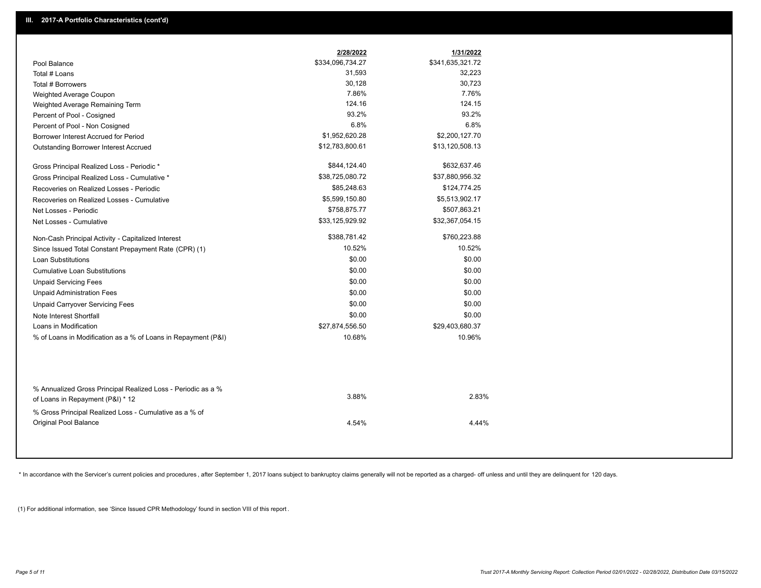|                                                                                                  | 2/28/2022        | 1/31/2022        |
|--------------------------------------------------------------------------------------------------|------------------|------------------|
| Pool Balance                                                                                     | \$334,096,734.27 | \$341,635,321.72 |
| Total # Loans                                                                                    | 31,593           | 32,223           |
| Total # Borrowers                                                                                | 30,128           | 30,723           |
| Weighted Average Coupon                                                                          | 7.86%            | 7.76%            |
| Weighted Average Remaining Term                                                                  | 124.16           | 124.15           |
| Percent of Pool - Cosigned                                                                       | 93.2%            | 93.2%            |
| Percent of Pool - Non Cosigned                                                                   | 6.8%             | 6.8%             |
| Borrower Interest Accrued for Period                                                             | \$1,952,620.28   | \$2,200,127.70   |
| Outstanding Borrower Interest Accrued                                                            | \$12,783,800.61  | \$13,120,508.13  |
| Gross Principal Realized Loss - Periodic *                                                       | \$844,124.40     | \$632,637.46     |
| Gross Principal Realized Loss - Cumulative *                                                     | \$38,725,080.72  | \$37,880,956.32  |
| Recoveries on Realized Losses - Periodic                                                         | \$85,248.63      | \$124,774.25     |
| Recoveries on Realized Losses - Cumulative                                                       | \$5,599,150.80   | \$5,513,902.17   |
| Net Losses - Periodic                                                                            | \$758,875.77     | \$507,863.21     |
| Net Losses - Cumulative                                                                          | \$33,125,929.92  | \$32,367,054.15  |
| Non-Cash Principal Activity - Capitalized Interest                                               | \$388,781.42     | \$760,223.88     |
| Since Issued Total Constant Prepayment Rate (CPR) (1)                                            | 10.52%           | 10.52%           |
| <b>Loan Substitutions</b>                                                                        | \$0.00           | \$0.00           |
| <b>Cumulative Loan Substitutions</b>                                                             | \$0.00           | \$0.00           |
| <b>Unpaid Servicing Fees</b>                                                                     | \$0.00           | \$0.00           |
| <b>Unpaid Administration Fees</b>                                                                | \$0.00           | \$0.00           |
| <b>Unpaid Carryover Servicing Fees</b>                                                           | \$0.00           | \$0.00           |
| Note Interest Shortfall                                                                          | \$0.00           | \$0.00           |
| Loans in Modification                                                                            | \$27,874,556.50  | \$29,403,680.37  |
| % of Loans in Modification as a % of Loans in Repayment (P&I)                                    | 10.68%           | 10.96%           |
|                                                                                                  |                  |                  |
| % Annualized Gross Principal Realized Loss - Periodic as a %<br>of Loans in Repayment (P&I) * 12 | 3.88%            | 2.83%            |
| % Gross Principal Realized Loss - Cumulative as a % of                                           |                  |                  |

\* In accordance with the Servicer's current policies and procedures, after September 1, 2017 loans subject to bankruptcy claims generally will not be reported as a charged- off unless and until they are delinquent for 120

4.54% 4.44%

(1) For additional information, see 'Since Issued CPR Methodology' found in section VIII of this report .

Original Pool Balance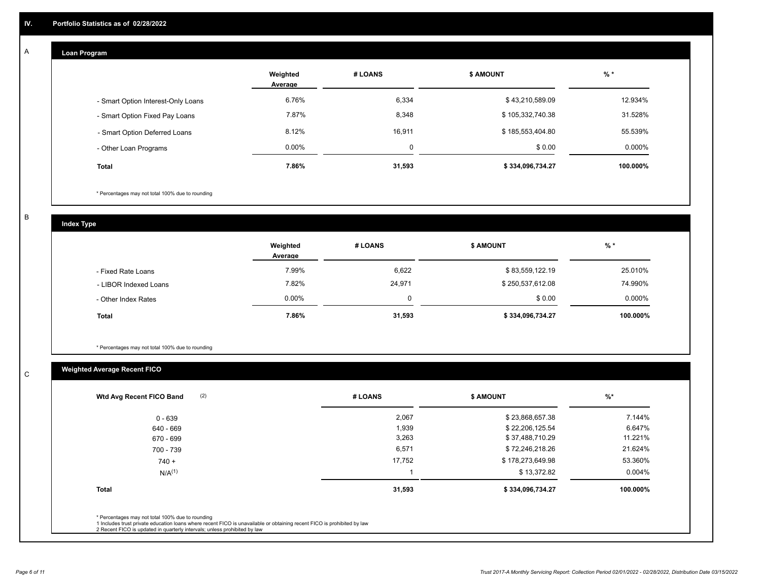#### **Loan Program**  A

|                                    | Weighted<br>Average | # LOANS | <b>\$ AMOUNT</b> | $%$ *    |
|------------------------------------|---------------------|---------|------------------|----------|
| - Smart Option Interest-Only Loans | 6.76%               | 6,334   | \$43,210,589.09  | 12.934%  |
| - Smart Option Fixed Pay Loans     | 7.87%               | 8,348   | \$105,332,740.38 | 31.528%  |
| - Smart Option Deferred Loans      | 8.12%               | 16,911  | \$185,553,404.80 | 55.539%  |
| - Other Loan Programs              | $0.00\%$            | 0       | \$0.00           | 0.000%   |
| <b>Total</b>                       | 7.86%               | 31,593  | \$334,096,734.27 | 100.000% |

\* Percentages may not total 100% due to rounding

B

C

**Index Type**

|                       | Weighted<br>Average | # LOANS | \$ AMOUNT        | $%$ *     |
|-----------------------|---------------------|---------|------------------|-----------|
| - Fixed Rate Loans    | 7.99%               | 6,622   | \$83,559,122.19  | 25.010%   |
| - LIBOR Indexed Loans | 7.82%               | 24,971  | \$250,537,612.08 | 74.990%   |
| - Other Index Rates   | $0.00\%$            | 0       | \$0.00           | $0.000\%$ |
| Total                 | 7.86%               | 31,593  | \$334,096,734.27 | 100.000%  |

\* Percentages may not total 100% due to rounding

# **Weighted Average Recent FICO**

| # LOANS | <b>S AMOUNT</b>  | $%$ *     |
|---------|------------------|-----------|
| 2,067   | \$23,868,657.38  | 7.144%    |
| 1,939   | \$22,206,125.54  | 6.647%    |
| 3,263   | \$37,488,710.29  | 11.221%   |
| 6,571   | \$72,246,218.26  | 21.624%   |
| 17,752  | \$178,273,649.98 | 53.360%   |
|         | \$13,372.82      | $0.004\%$ |
| 31,593  | \$334,096,734.27 | 100.000%  |
|         |                  |           |
|         |                  |           |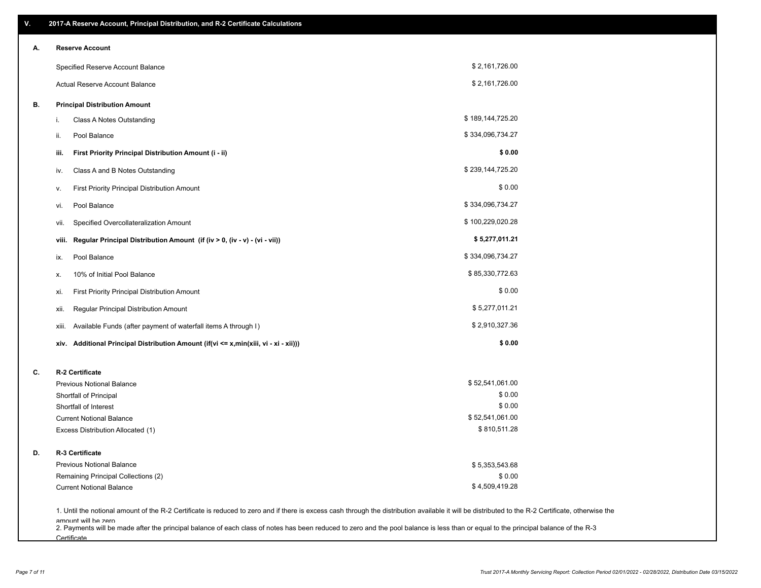| В. | Specified Reserve Account Balance<br>Actual Reserve Account Balance                  | \$2,161,726.00   |  |
|----|--------------------------------------------------------------------------------------|------------------|--|
|    |                                                                                      |                  |  |
|    |                                                                                      | \$2,161,726.00   |  |
|    | <b>Principal Distribution Amount</b>                                                 |                  |  |
|    | Class A Notes Outstanding<br>i.                                                      | \$189,144,725.20 |  |
|    | Pool Balance<br>ii.                                                                  | \$334,096,734.27 |  |
|    | iii.<br>First Priority Principal Distribution Amount (i - ii)                        | \$0.00           |  |
|    | Class A and B Notes Outstanding<br>iv.                                               | \$239,144,725.20 |  |
|    | First Priority Principal Distribution Amount<br>۷.                                   | \$0.00           |  |
|    | Pool Balance<br>vi.                                                                  | \$334,096,734.27 |  |
|    | Specified Overcollateralization Amount<br>vii.                                       | \$100,229,020.28 |  |
|    | Regular Principal Distribution Amount (if (iv > 0, (iv - v) - (vi - vii))<br>viii.   | \$5,277,011.21   |  |
|    | Pool Balance<br>ix.                                                                  | \$334,096,734.27 |  |
|    | 10% of Initial Pool Balance<br>х.                                                    | \$85,330,772.63  |  |
|    | First Priority Principal Distribution Amount<br>xi.                                  | \$0.00           |  |
|    | Regular Principal Distribution Amount<br>xii.                                        | \$5,277,011.21   |  |
|    | Available Funds (after payment of waterfall items A through I)<br>xiii.              | \$2,910,327.36   |  |
|    | xiv. Additional Principal Distribution Amount (if(vi <= x,min(xiii, vi - xi - xii))) | \$0.00           |  |
| C. | R-2 Certificate                                                                      |                  |  |
|    | <b>Previous Notional Balance</b>                                                     | \$52,541,061.00  |  |
|    | Shortfall of Principal                                                               | \$0.00           |  |
|    | Shortfall of Interest                                                                | \$0.00           |  |
|    | <b>Current Notional Balance</b>                                                      | \$52,541,061.00  |  |
|    | Excess Distribution Allocated (1)                                                    | \$810,511.28     |  |
| D. | R-3 Certificate                                                                      |                  |  |
|    | <b>Previous Notional Balance</b>                                                     | \$5,353,543.68   |  |
|    | Remaining Principal Collections (2)                                                  | \$0.00           |  |
|    | <b>Current Notional Balance</b>                                                      | \$4,509,419.28   |  |

amount will be zero<br>2. Payments will be made after the principal balance of each class of notes has been reduced to zero and the pool balance is less than or equal to the principal balance of the R-3 **Certificate**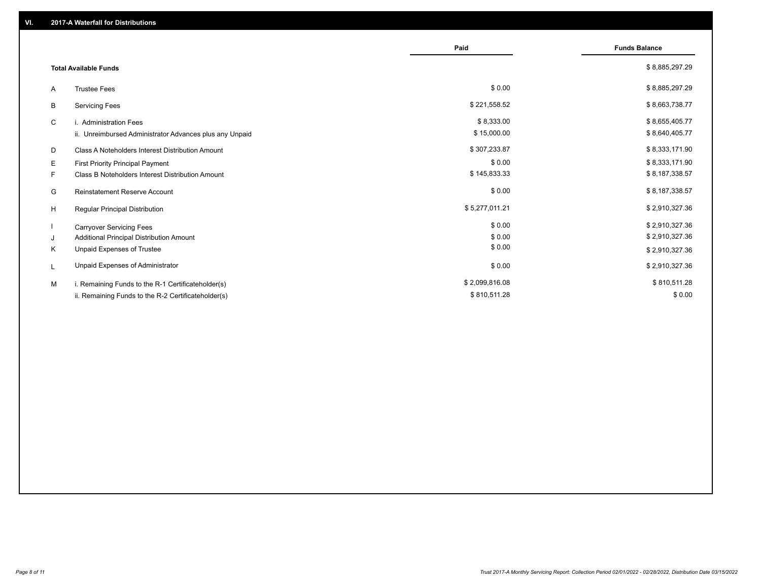|                                                         | Paid           | <b>Funds Balance</b> |
|---------------------------------------------------------|----------------|----------------------|
| <b>Total Available Funds</b>                            |                | \$8,885,297.29       |
| <b>Trustee Fees</b><br>A                                | \$0.00         | \$8,885,297.29       |
| <b>Servicing Fees</b><br>В                              | \$221,558.52   | \$8,663,738.77       |
| C<br>i. Administration Fees                             | \$8,333.00     | \$8,655,405.77       |
| ii. Unreimbursed Administrator Advances plus any Unpaid | \$15,000.00    | \$8,640,405.77       |
| Class A Noteholders Interest Distribution Amount<br>D   | \$307,233.87   | \$8,333,171.90       |
| Е<br>First Priority Principal Payment                   | \$0.00         | \$8,333,171.90       |
| Class B Noteholders Interest Distribution Amount<br>F.  | \$145,833.33   | \$8,187,338.57       |
| <b>Reinstatement Reserve Account</b><br>G               | \$0.00         | \$8,187,338.57       |
| H<br>Regular Principal Distribution                     | \$5,277,011.21 | \$2,910,327.36       |
| <b>Carryover Servicing Fees</b>                         | \$0.00         | \$2,910,327.36       |
| Additional Principal Distribution Amount<br>J           | \$0.00         | \$2,910,327.36       |
| Unpaid Expenses of Trustee<br>Κ                         | \$0.00         | \$2,910,327.36       |
| Unpaid Expenses of Administrator<br>L                   | \$0.00         | \$2,910,327.36       |
| i. Remaining Funds to the R-1 Certificateholder(s)<br>м | \$2,099,816.08 | \$810,511.28         |
| ii. Remaining Funds to the R-2 Certificateholder(s)     | \$810,511.28   | \$0.00               |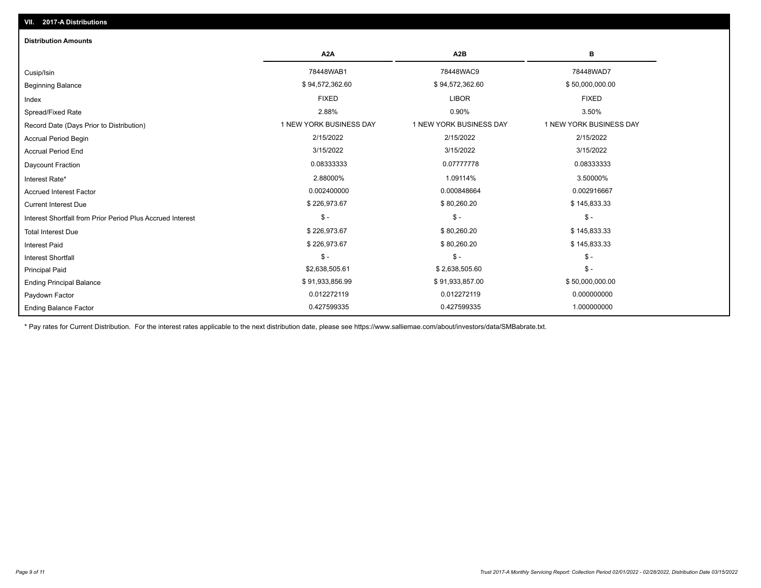| <b>Distribution Amounts</b>                                |                         |                         |                         |
|------------------------------------------------------------|-------------------------|-------------------------|-------------------------|
|                                                            | A <sub>2</sub> A        | A <sub>2</sub> B        | в                       |
| Cusip/Isin                                                 | 78448WAB1               | 78448WAC9               | 78448WAD7               |
| <b>Beginning Balance</b>                                   | \$94,572,362.60         | \$94,572,362.60         | \$50,000,000.00         |
| Index                                                      | <b>FIXED</b>            | <b>LIBOR</b>            | <b>FIXED</b>            |
| Spread/Fixed Rate                                          | 2.88%                   | 0.90%                   | 3.50%                   |
| Record Date (Days Prior to Distribution)                   | 1 NEW YORK BUSINESS DAY | 1 NEW YORK BUSINESS DAY | 1 NEW YORK BUSINESS DAY |
| <b>Accrual Period Begin</b>                                | 2/15/2022               | 2/15/2022               | 2/15/2022               |
| <b>Accrual Period End</b>                                  | 3/15/2022               | 3/15/2022               | 3/15/2022               |
| Daycount Fraction                                          | 0.08333333              | 0.07777778              | 0.08333333              |
| Interest Rate*                                             | 2.88000%                | 1.09114%                | 3.50000%                |
| <b>Accrued Interest Factor</b>                             | 0.002400000             | 0.000848664             | 0.002916667             |
| <b>Current Interest Due</b>                                | \$226,973.67            | \$80,260.20             | \$145,833.33            |
| Interest Shortfall from Prior Period Plus Accrued Interest | $\mathsf{\$}$ -         | $$ -$                   | $$ -$                   |
| <b>Total Interest Due</b>                                  | \$226,973.67            | \$80,260.20             | \$145,833.33            |
| <b>Interest Paid</b>                                       | \$226,973.67            | \$80,260.20             | \$145,833.33            |
| <b>Interest Shortfall</b>                                  | $\mathsf{\$}$ -         | $$ -$                   | $$ -$                   |
| <b>Principal Paid</b>                                      | \$2,638,505.61          | \$2,638,505.60          | $$ -$                   |
| <b>Ending Principal Balance</b>                            | \$91,933,856.99         | \$91,933,857.00         | \$50,000,000.00         |
| Paydown Factor                                             | 0.012272119             | 0.012272119             | 0.000000000             |
| <b>Ending Balance Factor</b>                               | 0.427599335             | 0.427599335             | 1.000000000             |

\* Pay rates for Current Distribution. For the interest rates applicable to the next distribution date, please see https://www.salliemae.com/about/investors/data/SMBabrate.txt.

**VII. 2017-A Distributions**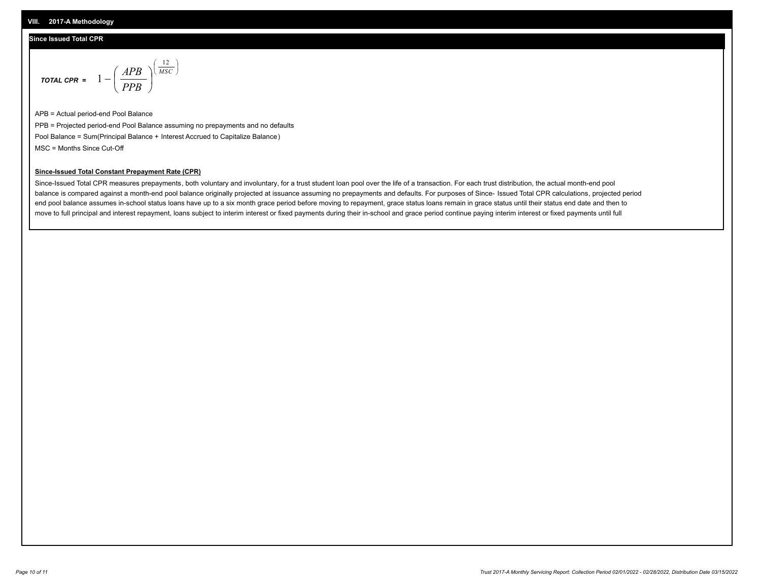### **Since Issued Total CPR**

$$
\text{total cPR} = 1 - \left(\frac{APB}{PPB}\right)^{\left(\frac{12}{MSC}\right)}
$$

APB = Actual period-end Pool Balance PPB = Projected period-end Pool Balance assuming no prepayments and no defaults Pool Balance = Sum(Principal Balance + Interest Accrued to Capitalize Balance) MSC = Months Since Cut-Off

I J Ι

#### **Since-Issued Total Constant Prepayment Rate (CPR)**

Since-Issued Total CPR measures prepayments, both voluntary and involuntary, for a trust student loan pool over the life of a transaction. For each trust distribution, the actual month-end pool balance is compared against a month-end pool balance originally projected at issuance assuming no prepayments and defaults. For purposes of Since- Issued Total CPR calculations, projected period end pool balance assumes in-school status loans have up to a six month grace period before moving to repayment, grace status loans remain in grace status until their status end date and then to move to full principal and interest repayment, loans subject to interim interest or fixed payments during their in-school and grace period continue paying interim interest or fixed payments until full